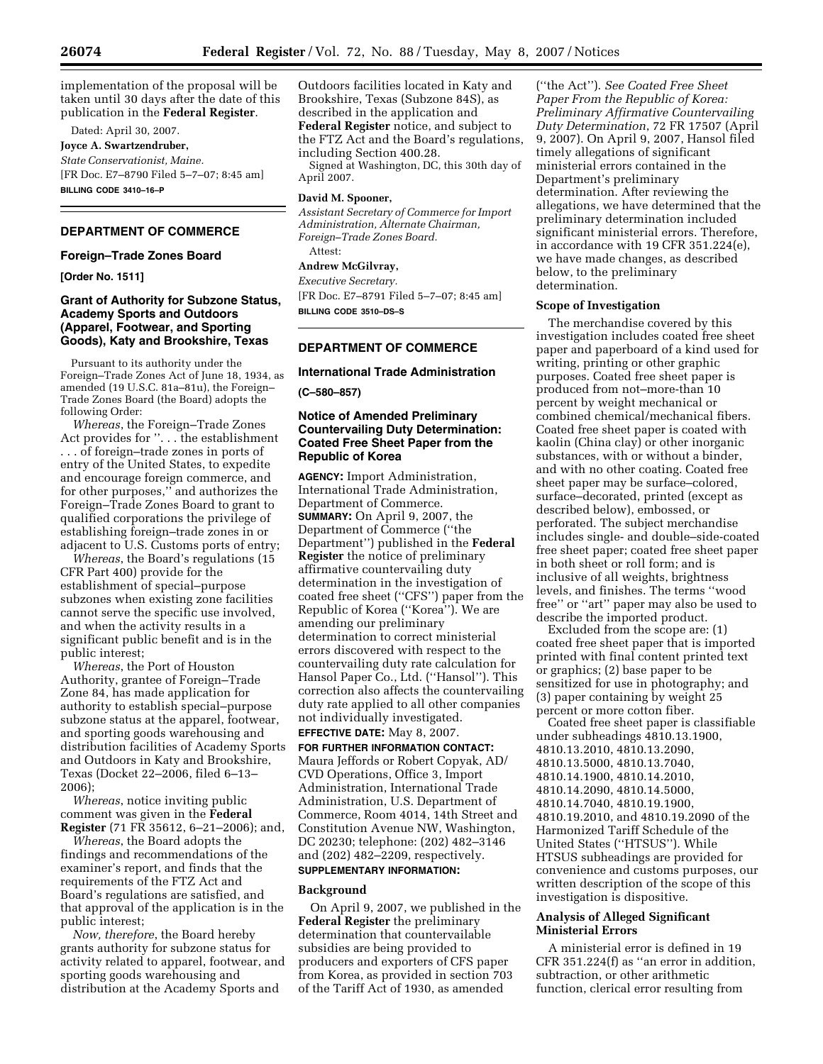implementation of the proposal will be taken until 30 days after the date of this publication in the **Federal Register**.

Dated: April 30, 2007.

**Joyce A. Swartzendruber,** 

*State Conservationist, Maine.*  [FR Doc. E7–8790 Filed 5–7–07; 8:45 am] **BILLING CODE 3410–16–P** 

# **DEPARTMENT OF COMMERCE**

#### **Foreign–Trade Zones Board**

**[Order No. 1511]** 

## **Grant of Authority for Subzone Status, Academy Sports and Outdoors (Apparel, Footwear, and Sporting Goods), Katy and Brookshire, Texas**

Pursuant to its authority under the Foreign–Trade Zones Act of June 18, 1934, as amended (19 U.S.C. 81a–81u), the Foreign– Trade Zones Board (the Board) adopts the following Order:

*Whereas*, the Foreign–Trade Zones Act provides for ''. . . the establishment . . . of foreign–trade zones in ports of entry of the United States, to expedite and encourage foreign commerce, and for other purposes,'' and authorizes the Foreign–Trade Zones Board to grant to qualified corporations the privilege of establishing foreign–trade zones in or adjacent to U.S. Customs ports of entry;

*Whereas*, the Board's regulations (15 CFR Part 400) provide for the establishment of special–purpose subzones when existing zone facilities cannot serve the specific use involved, and when the activity results in a significant public benefit and is in the public interest;

*Whereas*, the Port of Houston Authority, grantee of Foreign–Trade Zone 84, has made application for authority to establish special–purpose subzone status at the apparel, footwear, and sporting goods warehousing and distribution facilities of Academy Sports and Outdoors in Katy and Brookshire, Texas (Docket 22–2006, filed 6–13–  $2006$ 

*Whereas*, notice inviting public comment was given in the **Federal Register** (71 FR 35612, 6–21–2006); and,

*Whereas*, the Board adopts the findings and recommendations of the examiner's report, and finds that the requirements of the FTZ Act and Board's regulations are satisfied, and that approval of the application is in the public interest;

*Now, therefore*, the Board hereby grants authority for subzone status for activity related to apparel, footwear, and sporting goods warehousing and distribution at the Academy Sports and

Outdoors facilities located in Katy and Brookshire, Texas (Subzone 84S), as described in the application and **Federal Register** notice, and subject to the FTZ Act and the Board's regulations, including Section 400.28.

Signed at Washington, DC, this 30th day of April 2007.

### **David M. Spooner,**

*Assistant Secretary of Commerce for Import Administration, Alternate Chairman, Foreign–Trade Zones Board.*  Attest:

# **Andrew McGilvray,**

*Executive Secretary.*  [FR Doc. E7–8791 Filed 5–7–07; 8:45 am] **BILLING CODE 3510–DS–S** 

## **DEPARTMENT OF COMMERCE**

# **International Trade Administration**

**(C–580–857)** 

### **Notice of Amended Preliminary Countervailing Duty Determination: Coated Free Sheet Paper from the Republic of Korea**

**AGENCY:** Import Administration, International Trade Administration, Department of Commerce. **SUMMARY:** On April 9, 2007, the Department of Commerce (''the Department'') published in the **Federal Register** the notice of preliminary affirmative countervailing duty determination in the investigation of coated free sheet (''CFS'') paper from the Republic of Korea (''Korea''). We are amending our preliminary determination to correct ministerial errors discovered with respect to the countervailing duty rate calculation for Hansol Paper Co., Ltd. (''Hansol''). This correction also affects the countervailing duty rate applied to all other companies not individually investigated.

# **EFFECTIVE DATE:** May 8, 2007.

**FOR FURTHER INFORMATION CONTACT:**  Maura Jeffords or Robert Copyak, AD/ CVD Operations, Office 3, Import Administration, International Trade Administration, U.S. Department of Commerce, Room 4014, 14th Street and Constitution Avenue NW, Washington, DC 20230; telephone: (202) 482–3146 and (202) 482–2209, respectively. **SUPPLEMENTARY INFORMATION:** 

#### **Background**

On April 9, 2007, we published in the **Federal Register** the preliminary determination that countervailable subsidies are being provided to producers and exporters of CFS paper from Korea, as provided in section 703 of the Tariff Act of 1930, as amended

(''the Act''). *See Coated Free Sheet Paper From the Republic of Korea: Preliminary Affirmative Countervailing Duty Determination*, 72 FR 17507 (April 9, 2007). On April 9, 2007, Hansol filed timely allegations of significant ministerial errors contained in the Department's preliminary determination. After reviewing the allegations, we have determined that the preliminary determination included significant ministerial errors. Therefore, in accordance with 19 CFR 351.224(e), we have made changes, as described below, to the preliminary determination.

### **Scope of Investigation**

The merchandise covered by this investigation includes coated free sheet paper and paperboard of a kind used for writing, printing or other graphic purposes. Coated free sheet paper is produced from not–more-than 10 percent by weight mechanical or combined chemical/mechanical fibers. Coated free sheet paper is coated with kaolin (China clay) or other inorganic substances, with or without a binder, and with no other coating. Coated free sheet paper may be surface–colored, surface–decorated, printed (except as described below), embossed, or perforated. The subject merchandise includes single- and double–side-coated free sheet paper; coated free sheet paper in both sheet or roll form; and is inclusive of all weights, brightness levels, and finishes. The terms ''wood free'' or ''art'' paper may also be used to describe the imported product.

Excluded from the scope are: (1) coated free sheet paper that is imported printed with final content printed text or graphics; (2) base paper to be sensitized for use in photography; and (3) paper containing by weight 25 percent or more cotton fiber.

Coated free sheet paper is classifiable under subheadings 4810.13.1900, 4810.13.2010, 4810.13.2090, 4810.13.5000, 4810.13.7040, 4810.14.1900, 4810.14.2010, 4810.14.2090, 4810.14.5000, 4810.14.7040, 4810.19.1900, 4810.19.2010, and 4810.19.2090 of the Harmonized Tariff Schedule of the United States (''HTSUS''). While HTSUS subheadings are provided for convenience and customs purposes, our written description of the scope of this investigation is dispositive.

## **Analysis of Alleged Significant Ministerial Errors**

A ministerial error is defined in 19 CFR 351.224(f) as ''an error in addition, subtraction, or other arithmetic function, clerical error resulting from